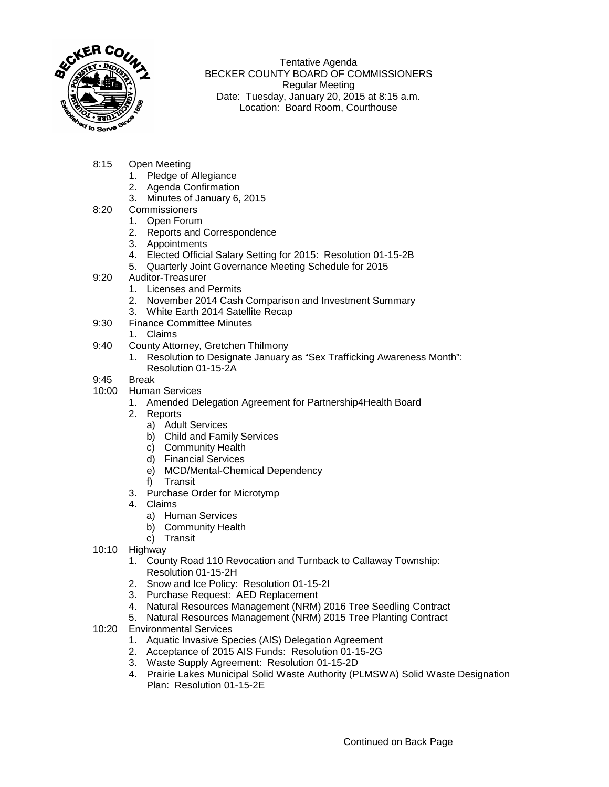

Tentative Agenda BECKER COUNTY BOARD OF COMMISSIONERS Regular Meeting Date: Tuesday, January 20, 2015 at 8:15 a.m. Location: Board Room, Courthouse

- 8:15 Open Meeting
	- 1. Pledge of Allegiance
	- 2. Agenda Confirmation
	- 3. Minutes of January 6, 2015
- 8:20 Commissioners
	- 1. Open Forum
	- 2. Reports and Correspondence
	- 3. Appointments
	- 4. Elected Official Salary Setting for 2015: Resolution 01-15-2B
	- 5. Quarterly Joint Governance Meeting Schedule for 2015
- 9:20 Auditor-Treasurer
	- 1. Licenses and Permits
	- 2. November 2014 Cash Comparison and Investment Summary
	- 3. White Earth 2014 Satellite Recap
- 9:30 Finance Committee Minutes
	- 1. Claims
- 9:40 County Attorney, Gretchen Thilmony
	- 1. Resolution to Designate January as "Sex Trafficking Awareness Month": Resolution 01-15-2A
- 9:45 Break
- 10:00 Human Services
	- 1. Amended Delegation Agreement for Partnership4Health Board
	- 2. Reports
		- a) Adult Services
		- b) Child and Family Services
		- c) Community Health
		- d) Financial Services
		- e) MCD/Mental-Chemical Dependency
		- f) Transit
	- 3. Purchase Order for Microtymp
	- 4. Claims
		- a) Human Services
		- b) Community Health
		- c) Transit
- 10:10 Highway
	- 1. County Road 110 Revocation and Turnback to Callaway Township: Resolution 01-15-2H
	- 2. Snow and Ice Policy: Resolution 01-15-2I
	- 3. Purchase Request: AED Replacement
	- 4. Natural Resources Management (NRM) 2016 Tree Seedling Contract
	- 5. Natural Resources Management (NRM) 2015 Tree Planting Contract
- 10:20 Environmental Services
	- 1. Aquatic Invasive Species (AIS) Delegation Agreement
	- 2. Acceptance of 2015 AIS Funds: Resolution 01-15-2G
	- 3. Waste Supply Agreement: Resolution 01-15-2D
	- 4. Prairie Lakes Municipal Solid Waste Authority (PLMSWA) Solid Waste Designation Plan: Resolution 01-15-2E